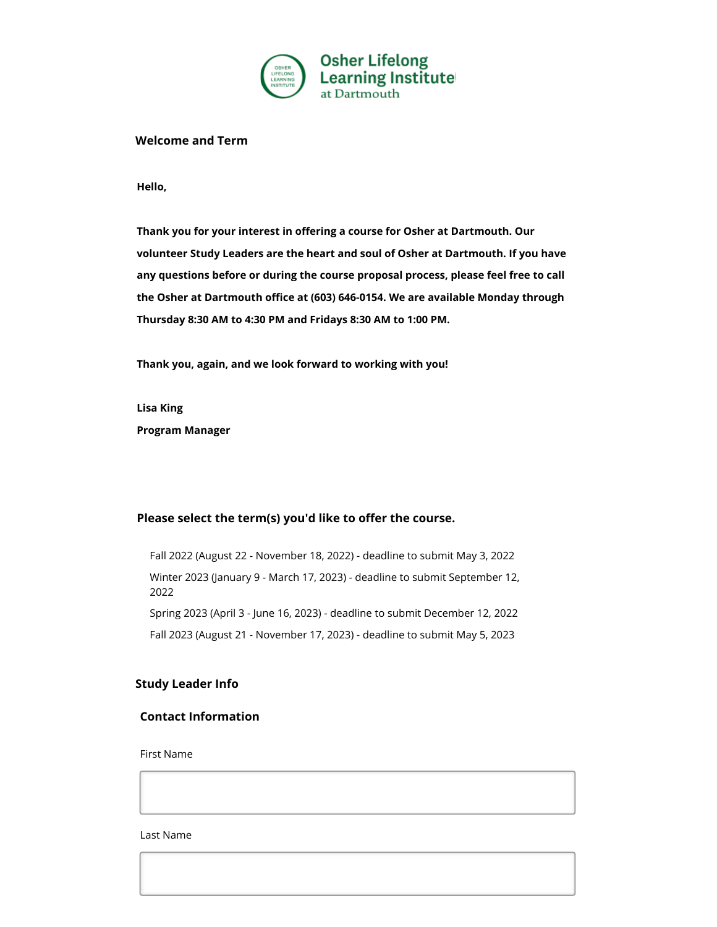

#### **Welcome and Term**

**Hello,**

**Thank you for your interest in offering a course for Osher at Dartmouth. Our volunteer Study Leaders are the heart and soul of Osher at Dartmouth. If you have any questions before or during the course proposal process, please feel free to call the Osher at Dartmouth office at (603) 646-0154. We are available Monday through Thursday 8:30 AM to 4:30 PM and Fridays 8:30 AM to 1:00 PM.**

**Thank you, again, and we look forward to working with you!**

**Lisa King**

**Program Manager**

## Please select the term(s) you'd like to offer the course.

Fall 2022 (August 22 - November 18, 2022) - deadline to submit May 3, 2022 Winter 2023 (January 9 - March 17, 2023) - deadline to submit September 12, 2022 Spring 2023 (April 3 - June 16, 2023) - deadline to submit December 12, 2022 Fall 2023 (August 21 - November 17, 2023) - deadline to submit May 5, 2023

## **Study Leader Info**

## **Contact Information**

First Name

Last Name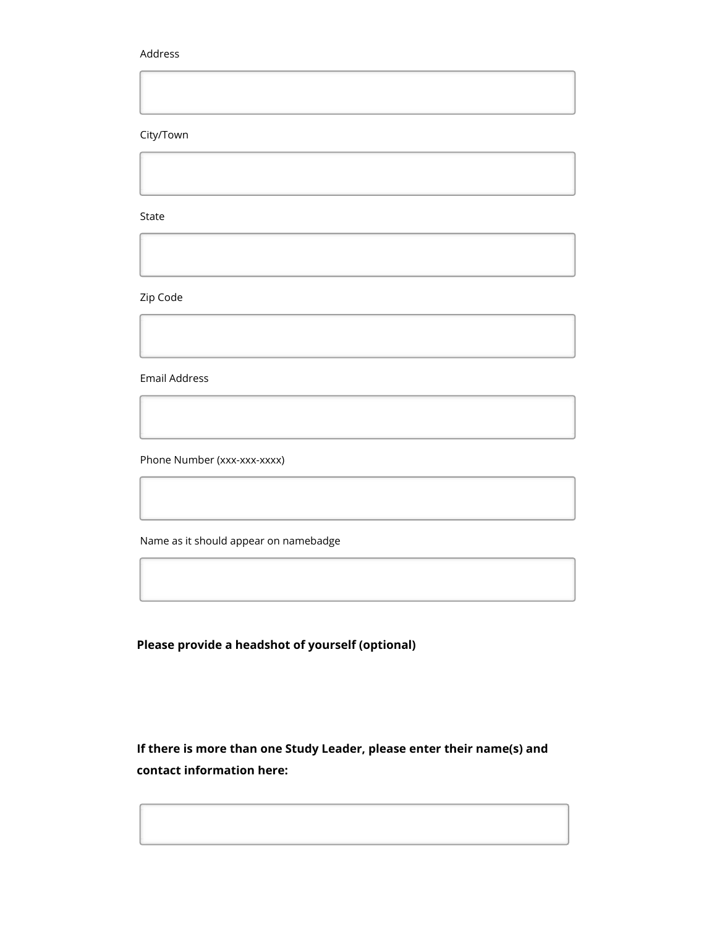#### Address

City/Town

State

Zip Code

Email Address

Phone Number (xxx-xxx-xxxx)

Name as it should appear on namebadge

**Please provide a headshot of yourself (optional)**

**If there is more than one Study Leader, please enter their name(s) and contact information here:**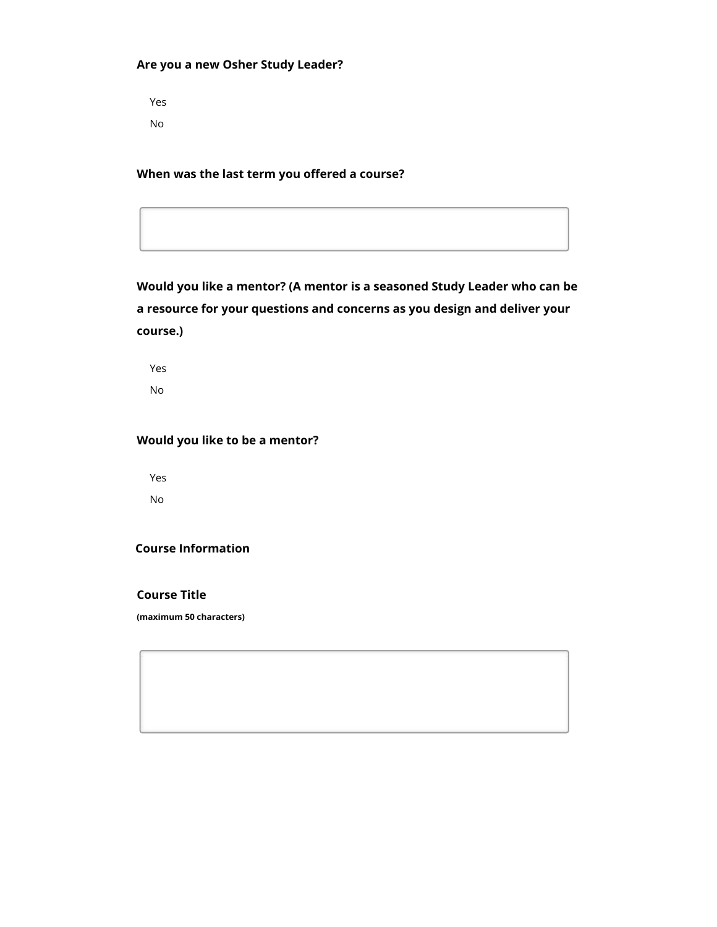## **Are you a new Osher Study Leader?**

Yes No

**When was the last term you offered a course?**

**Would you like a mentor? (A mentor is a seasoned Study Leader who can be a resource for your questions and concerns as you design and deliver your course.)**

Yes No

# **Would you like to be a mentor?**

Yes No

## **Course Information**

**Course Title**

**(maximum 50 characters)**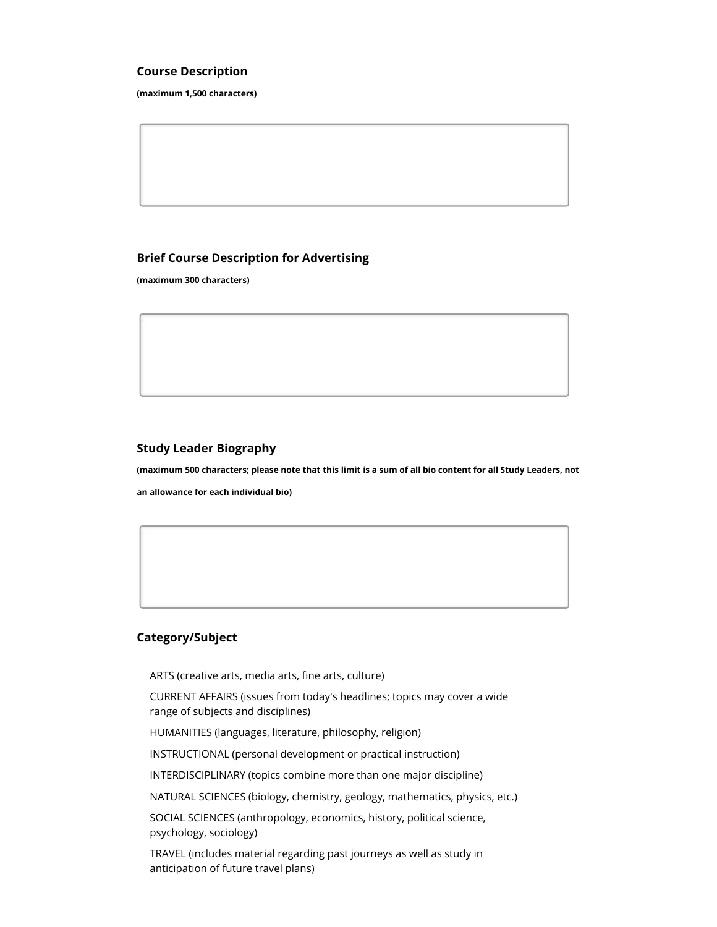#### **Course Description**

**(maximum 1,500 characters)**

### **Brief Course Description for Advertising**

**(maximum 300 characters)**

#### **Study Leader Biography**

**(maximum 500 characters; please note that this limit is a sum of all bio content for all Study Leaders, not an allowance for each individual bio)**

## **Category/Subject**

ARTS (creative arts, media arts, fine arts, culture)

CURRENT AFFAIRS (issues from today's headlines; topics may cover a wide range of subjects and disciplines)

HUMANITIES (languages, literature, philosophy, religion)

INSTRUCTIONAL (personal development or practical instruction)

INTERDISCIPLINARY (topics combine more than one major discipline)

NATURAL SCIENCES (biology, chemistry, geology, mathematics, physics, etc.)

SOCIAL SCIENCES (anthropology, economics, history, political science, psychology, sociology)

TRAVEL (includes material regarding past journeys as well as study in anticipation of future travel plans)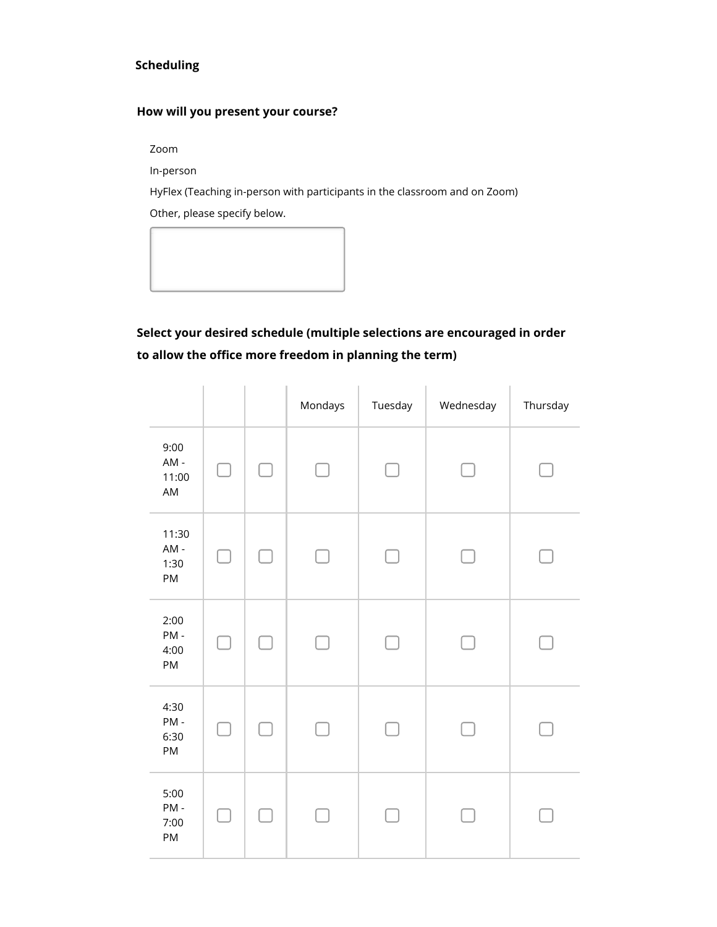# **Scheduling**

# **How will you present your course?**

Zoom

In-person

HyFlex (Teaching in-person with participants in the classroom and on Zoom) Other, please specify below.



# **Select your desired schedule (multiple selections are encouraged in order to allow the office more freedom in planning the term)**

|                            |   |               | Mondays | Tuesday | Wednesday | Thursday |
|----------------------------|---|---------------|---------|---------|-----------|----------|
| 9:00<br>AM-<br>11:00<br>AM | L | L             | $\Box$  | e.      |           |          |
| 11:30<br>AM-<br>1:30<br>PM |   | $\mathcal{L}$ |         |         |           |          |
| 2:00<br>PM-<br>4:00<br>PM  |   | $\sim$        |         |         |           |          |
| 4:30<br>PM-<br>6:30<br>PM  |   | n and         |         |         |           |          |
| 5:00<br>PM-<br>7:00<br>PM  |   | ۰             |         |         |           |          |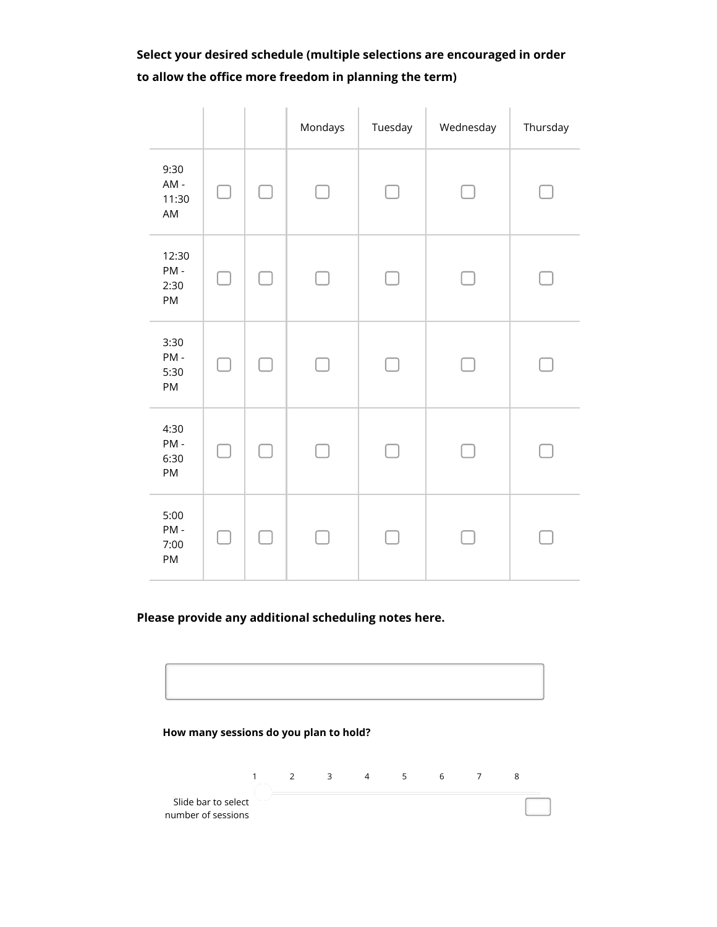**Select your desired schedule (multiple selections are encouraged in order to allow the office more freedom in planning the term)**

|                            |                |        | Mondays | Tuesday        | Wednesday | Thursday |
|----------------------------|----------------|--------|---------|----------------|-----------|----------|
| 9:30<br>AM-<br>11:30<br>AM | $\blacksquare$ | $\Box$ | $\Box$  | $\blacksquare$ |           |          |
| 12:30<br>PM-<br>2:30<br>PM | $\Box$         | $\Box$ | $\Box$  | $\Box$         |           |          |
| 3:30<br>PM-<br>5:30<br>PM  | $\Box$         | П      | $\Box$  |                |           |          |
| 4:30<br>PM-<br>6:30<br>PM  | - 1            | $\Box$ |         |                |           |          |
| 5:00<br>PM-<br>7:00<br>PM  |                | L      |         |                |           |          |

**Please provide any additional scheduling notes here.**

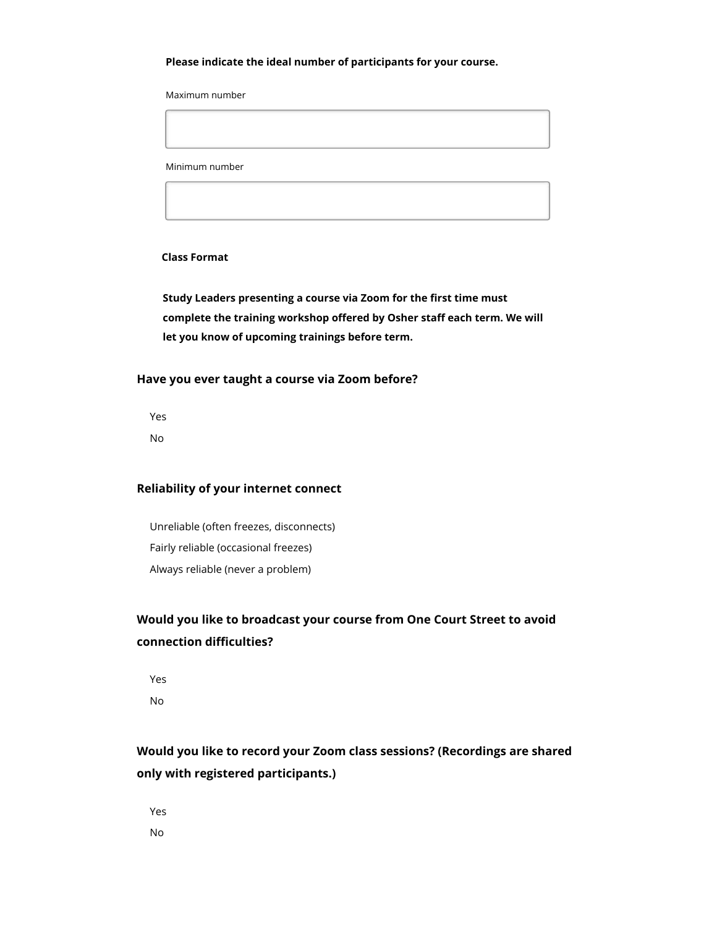#### **Please indicate the ideal number of participants for your course.**

Maximum number

Minimum number

#### **Class Format**

**Study Leaders presenting a course via Zoom for the first time must complete the training workshop offered by Osher staff each term. We will let you know of upcoming trainings before term.**

### **Have you ever taught a course via Zoom before?**

Yes

No

#### **Reliability of your internet connect**

Unreliable (often freezes, disconnects) Fairly reliable (occasional freezes) Always reliable (never a problem)

# **Would you like to broadcast your course from One Court Street to avoid connection difficulties?**

Yes No

# **Would you like to record your Zoom class sessions? (Recordings are shared only with registered participants.)**

Yes No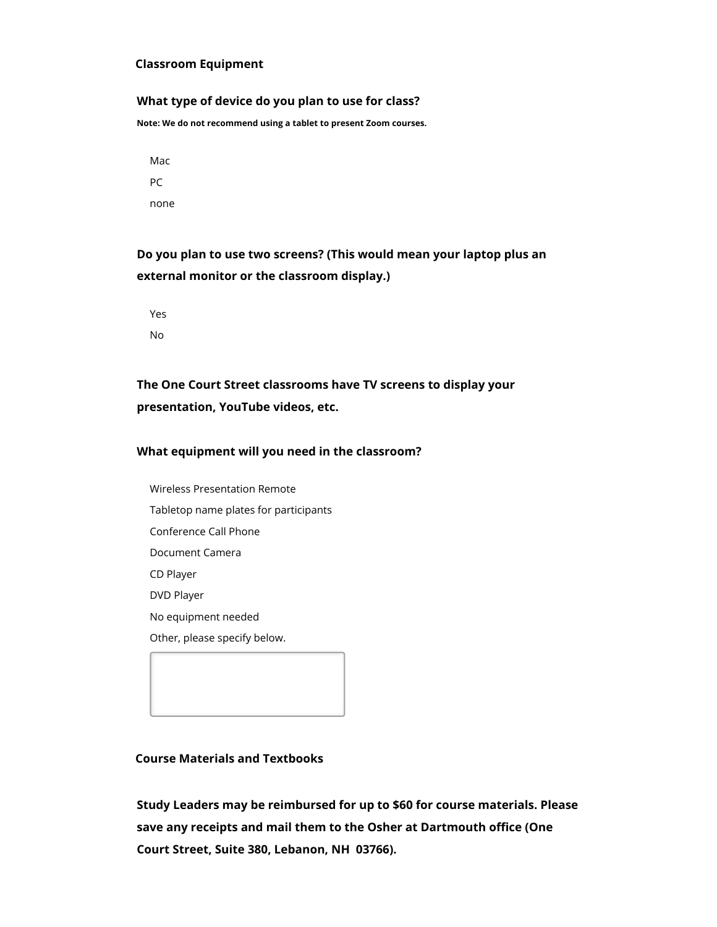#### **Classroom Equipment**

#### **What type of device do you plan to use for class?**

**Note: We do not recommend using a tablet to present Zoom courses.**

Mac PC none

**Do you plan to use two screens? (This would mean your laptop plus an external monitor or the classroom display.)**

Yes No

**The One Court Street classrooms have TV screens to display your presentation, YouTube videos, etc.**

### **What equipment will you need in the classroom?**

Wireless Presentation Remote Tabletop name plates for participants Conference Call Phone Document Camera CD Player DVD Player No equipment needed Other, please specify below.

#### **Course Materials and Textbooks**

**Study Leaders may be reimbursed for up to \$60 for course materials. Please save any receipts and mail them to the Osher at Dartmouth office (One Court Street, Suite 380, Lebanon, NH 03766).**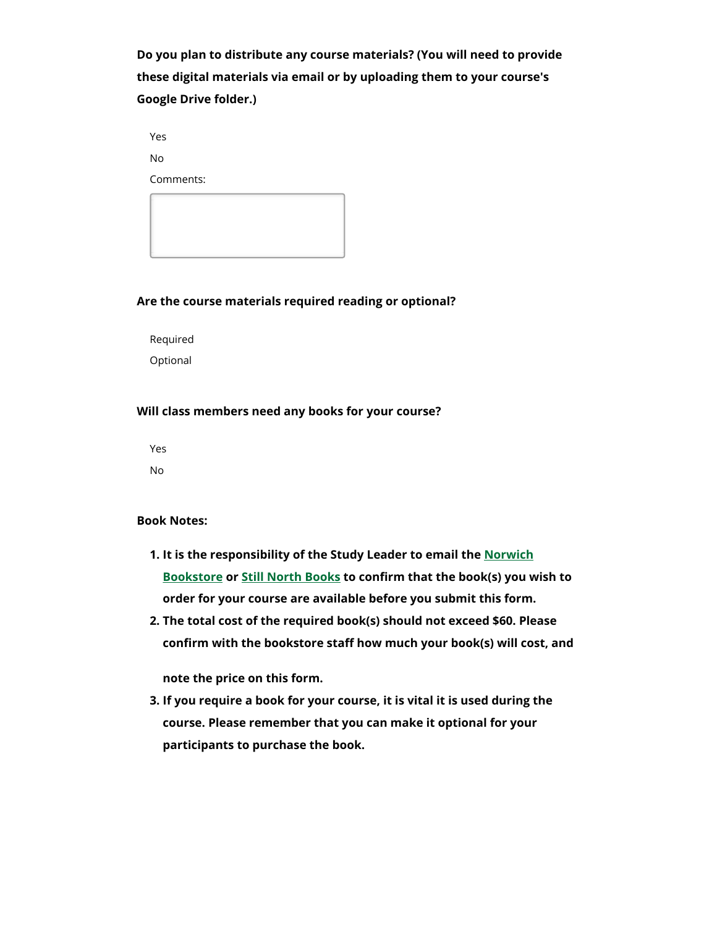**Do you plan to distribute any course materials? (You will need to provide these digital materials via email or by uploading them to your course's Google Drive folder.)**

Yes

No

Comments:



#### **Are the course materials required reading or optional?**

Required Optional

#### **Will class members need any books for your course?**

Yes No

#### **Book Notes:**

- **1. It is the responsibility of the Study Leader to email the Norwich Bookstore or Still North Books to confirm that the book(s) you wish to order for your course are available before you submit this form.**
- **2. The total cost of the required book(s) should not exceed \$60. Please confirm with the bookstore staff how much your book(s) will cost, and**

**note the price on this form.**

**3. If you require a book for your course, it is vital it is used during the course. Please remember that you can make it optional for your participants to purchase the book.**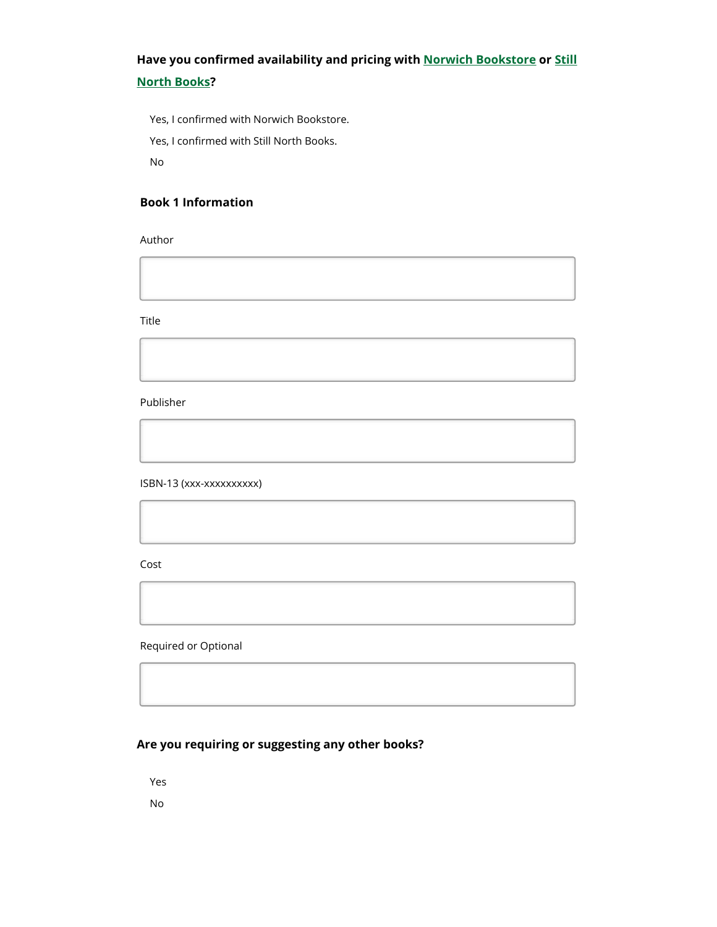# **Have you confirmed availability and pricing with Norwich Bookstore or Still North Books?**

Yes, I confirmed with Norwich Bookstore.

Yes, I confirmed with Still North Books.

No

## **Book 1 Information**

Author

Title

Publisher

ISBN-13 (xxx-xxxxxxxxxx)

Cost

Required or Optional

# **Are you requiring or suggesting any other books?**

Yes

No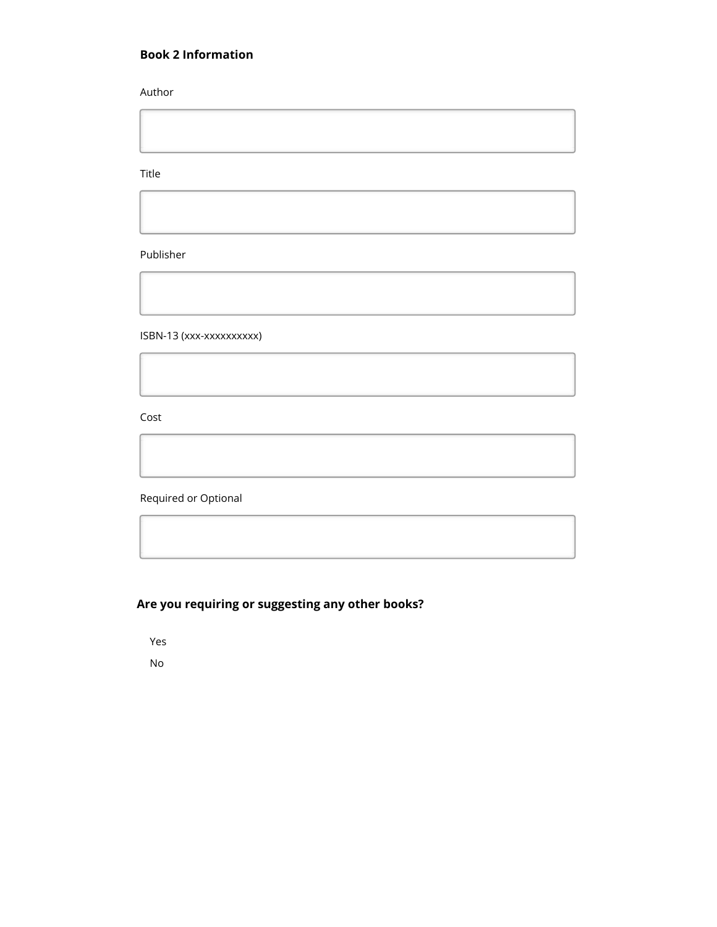## **Book 2 Information**

Author

Title

Publisher

ISBN-13 (xxx-xxxxxxxxxx)

Cost

Required or Optional

# **Are you requiring or suggesting any other books?**

Yes

No